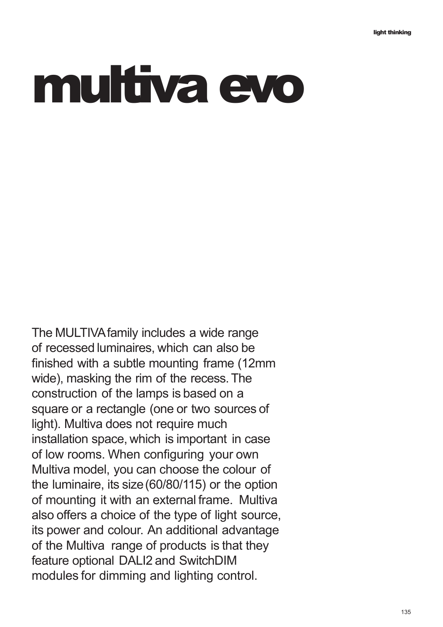## **multivaevo**

The MULTIVAfamily includes a wide range of recessed luminaires, which can also be finished with a subtle mounting frame (12mm wide), masking the rim of the recess.The construction of the lamps is based on a square or a rectangle (one or two sources of light). Multiva does not require much installation space, which is important in case of low rooms. When configuring your own Multiva model, you can choose the colour of the luminaire, its size(60/80/115) or the option of mounting it with an external frame. Multiva also offers a choice of the type of light source, its power and colour. An additional advantage of the Multiva range of products is that they feature optional DALI2 and SwitchDIM modules for dimming and lighting control.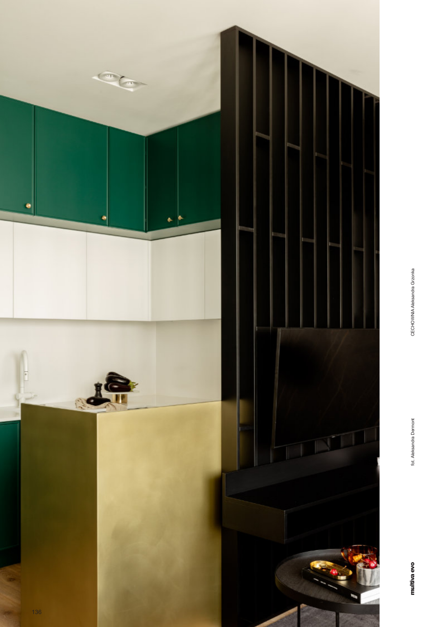

CECHOWNIA Aleksandra Grzonka

fot. Aleksandra Dermont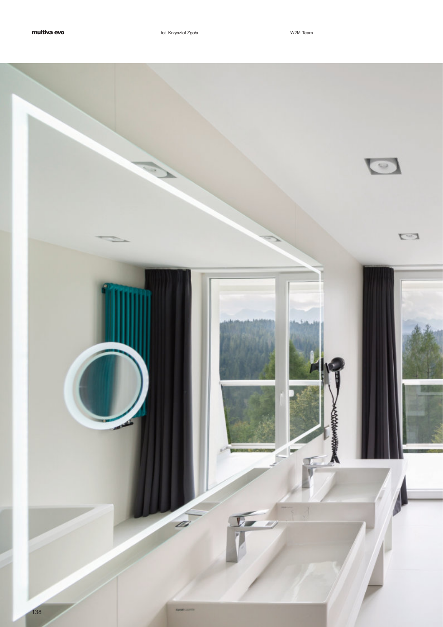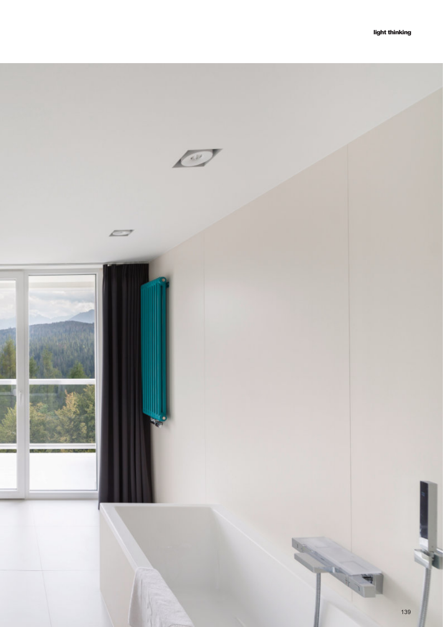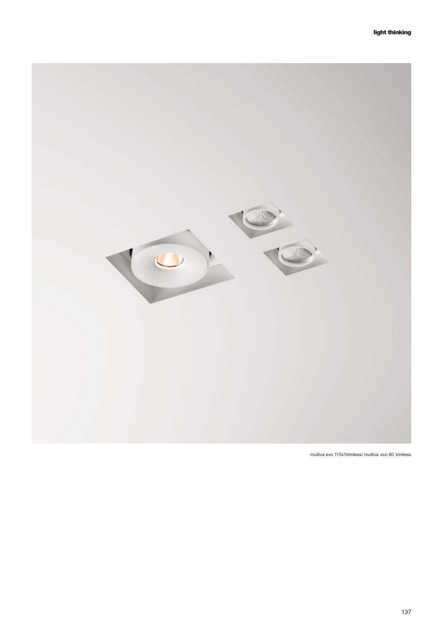

multiva evo 115x1trimless/ multiva evo 80 trimless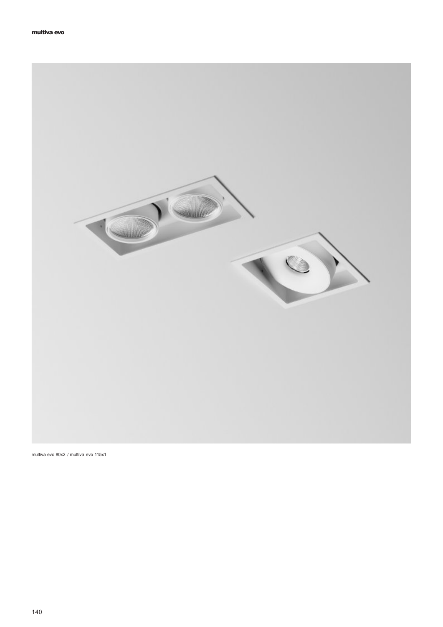

multiva evo 80x2 / multiva evo 115x1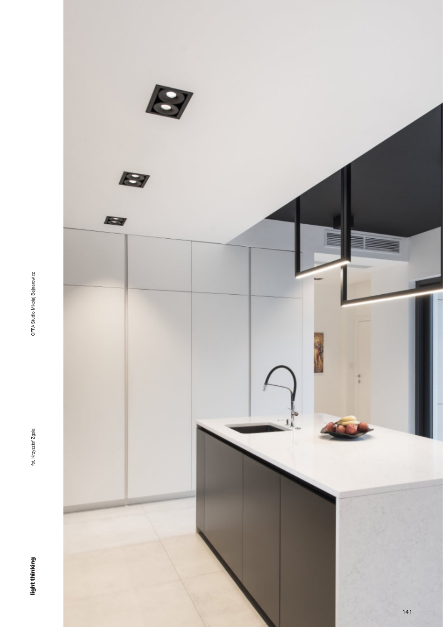

fot. Krzysztof Zgoła fot. Krzysztof Zgoła

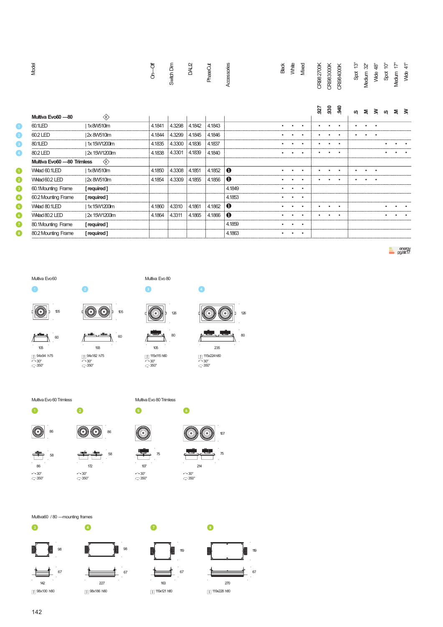|           | Model                      |                              | ঠ<br>గ్ | Switch Dim | DAL2   | PhaseCut | Accessories | <b>Black</b>        | White     | <b>Mixed</b> | CR882700K | <b>CRi983000K</b> | CRi984000K | ಜ<br>$\frac{1}{2}$ | $32^{\circ}$<br>Medium | $\overset{\circ}{\mathfrak{B}}$<br>Wide | $\tilde{C}$<br>Spot | ᡛ<br>Medium | $rac{6}{4}$<br>Wide |
|-----------|----------------------------|------------------------------|---------|------------|--------|----------|-------------|---------------------|-----------|--------------|-----------|-------------------|------------|--------------------|------------------------|-----------------------------------------|---------------------|-------------|---------------------|
|           | Multiva Evo60 -80          | $\textcircled{\tiny{\#}}$    |         |            |        |          |             |                     |           |              | 927       | ೫.                | <b>940</b> | ဖာ့                |                        |                                         | ∞ ≲ ≳               | Σ ≳         |                     |
| $\bullet$ | 60.1LED                    | 1x8W510m                     | 4.1841  | 4.3298     | 4.1842 | 4.1843   |             | $\bullet$           |           | $\bullet$    |           | ٠                 | $\bullet$  | $\bullet$          |                        | $\bullet$                               |                     |             |                     |
| $\bullet$ | 60.2 LED                   | 2x 8W510lm                   | 4.1844  | 4.3299     | 4.1845 | 4.1846   |             | $\bullet$           | $\bullet$ | $\bullet$    | ٠         | $\bullet$         | $\bullet$  | $\bullet$          | $\bullet$              | $\bullet$                               |                     |             |                     |
| $\bullet$ | 80.1LED                    | 1x15W1200m                   | 4.1835  | 4.3300     | 4.1836 | 4.1837   |             | $\bullet$           | $\bullet$ | $\bullet$    | $\bullet$ | $\bullet$         | $\bullet$  |                    |                        |                                         | $\bullet$           | $\bullet$   |                     |
| $\bullet$ | 80.2 LED                   | 2x 15W1200lm                 | 4.1838  | 4.3301     | 4.1839 | 4.1840   |             | $\bullet$ $\bullet$ |           | $\bullet$    | $\bullet$ | $\bullet$         | $\bullet$  |                    |                        |                                         |                     |             |                     |
|           | Multiva Evo60 -80 Trimless | $\langle \mathbb{I} \rangle$ |         |            |        |          |             |                     |           |              |           |                   |            |                    |                        |                                         |                     |             |                     |
| 0         | Wiklad 60.1LED             | 1x8W510m                     | 4.1850  | 4.3308     | 4.1851 | 4.1852   | $\bf{0}$    | $\bullet$           | $\bullet$ | $\bullet$    | $\bullet$ | $\bullet$         | $\bullet$  | $\bullet$          | $\bullet$              | $\bullet$                               |                     |             |                     |
| $\bullet$ | Wkład 60.2 LED             | 2x 8W510lm                   | 4.1854  | 4.3309     | 4.1855 | 4.1856   | $\mathbf o$ | $\bullet$           | $\bullet$ | $\bullet$    | $\bullet$ | $\bullet$         | $\bullet$  | $\bullet$          | $\bullet$              | $\bullet$                               |                     |             |                     |
| $\bullet$ | 60.1Mounting Frame         | [required]                   |         |            |        |          | 4.1849      | $\bullet$           | $\bullet$ | $\bullet$    |           |                   |            |                    |                        |                                         |                     |             |                     |
| $\bullet$ | 60.2 Mounting Frame        | [required]                   |         |            |        |          | 4.1853      | $\bullet$           | $\bullet$ | $\bullet$    |           |                   |            |                    |                        |                                         |                     |             |                     |
| 6         | Wiklad 80.1LED             | 1x15W1200m                   | 4.1860  | 4.3310     | 4.1861 | 4.1862   | $\bf{o}$    | $\bullet$           | $\bullet$ | $\bullet$    | $\bullet$ | $\bullet$         | $\bullet$  |                    |                        |                                         | $\bullet$           |             |                     |
| G         | Wkład 80.2 LED             | 2x 15W1200lm                 | 4.1864  | 4.3311     | 4.1865 | 4.1866   | $\bf{o}$    |                     | $\bullet$ | $\bullet$    |           |                   | ٠          |                    |                        |                                         |                     |             | $\bullet$           |

 $\ddot{\bullet}$  $\bullet$  $\bullet$  $\bullet$  $\ddot{\bullet}$  $\bullet$  $\bullet$ 

energy pg./str.17

Multiva Evo60

 $\bullet$ 

10 D

105

60 94x94 h75 94x182 h75 115x115 h80 115x224h80 30° 30° 30° 30° 350° 350° 350° 350°

 $\bullet$ 

80.1Mounting Frame **[ required ]** 80.2Mounting Frame **[ required ]**



 $\bigcirc$ 126 80  $105$ <br>  $\boxed{1}$  115x115 h80<br>  $\bigcirc$  30°<br>  $\bigcirc$  350°

Multiva Evo 80

 $\bullet$ 

75

107

 $\bullet$ 

 $\circledcirc$ 



 $\bullet$ 

80

126

4.1859 4.1863

• • • • • •

•

• •

Multiva Evo 60 Trimless **Multiva Evo 80 Trimless** 

 $\bullet$  $\bigcirc$  86

ᡱ 58 86



 $\bullet$ 

58 30° 30° 30° 30°

 $\circledcirc$ 214 350° 350° 350° 350°

 $\bullet$ 

75

107

Multiva60 / 80 —mounting frames



142